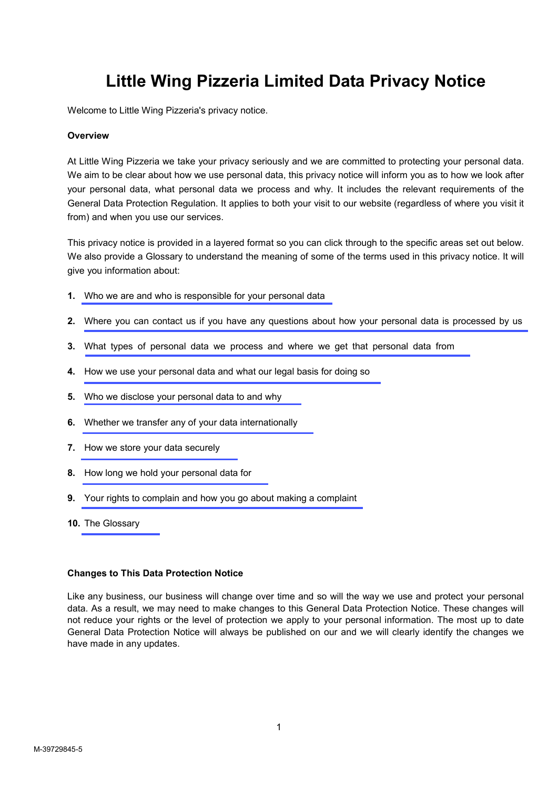# **Little Wing Pizzeria Limited Data Privacy Notice**

Welcome to Little Wing Pizzeria's privacy notice.

#### **Overview**

At Little Wing Pizzeria we take your privacy seriously and we are committed to protecting your personal data. We aim to be clear about how we use personal data, this privacy notice will inform you as to how we look after your personal data, what personal data we process and why. It includes the relevant requirements of the General Data Protection Regulation. It applies to both your visit to our website (regardless of where you visit it from) and when you use our services.

This privacy notice is provided in a layered format so you can click through to the specific areas set out below. We also provide a Glossary to understand the meaning of some of the terms used in this privacy notice. It will give you information about:

- **1.** [Who we are and who is](#page-1-0) responsible for your personal data
- **2.** Where you can contact us if you have any questions [about how your personal](#page-1-0) data is processed by us
- **3.** What types of personal data we process [and where we get that personal data from](#page-2-0)
- **4.** How we use your personal data and what our [legal basis for doing so](#page-3-0)
- **5.** [Who we disclose your personal data to and why](#page-6-0)
- **6.** [Whether we transfer any of](#page-7-0) your data internationally
- **7.** How [we store your](#page-7-0) data securely
- **8.** How [long we hold your personal data for](#page-7-0)
- **9.** Your rights to complain and how [you go about making a complaint](#page-8-0)
- **10.** [The Glossary](#page-9-0)

#### **Changes to This Data Protection Notice**

Like any business, our business will change over time and so will the way we use and protect your personal data. As a result, we may need to make changes to this General Data Protection Notice. These changes will not reduce your rights or the level of protection we apply to your personal information. The most up to date General Data Protection Notice will always be published on our and we will clearly identify the changes we have made in any updates.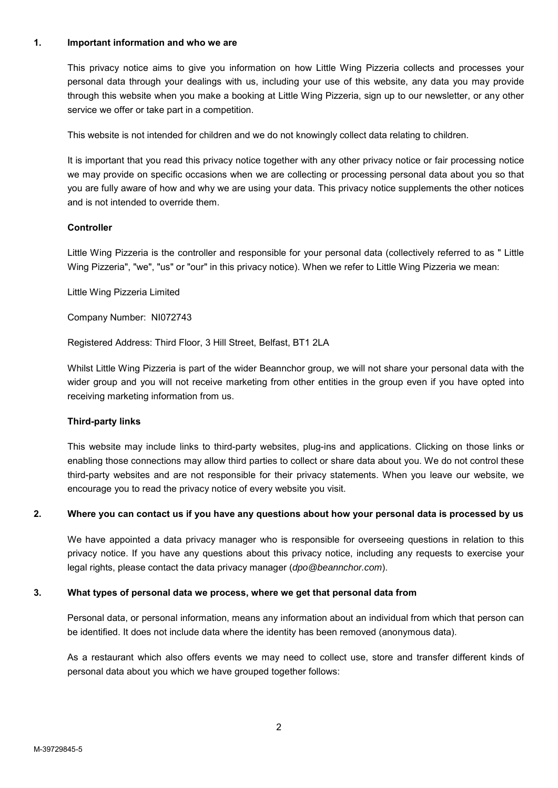#### <span id="page-1-0"></span>**1. Important information and who we are**

This privacy notice aims to give you information on how Little Wing Pizzeria collects and processes your personal data through your dealings with us, including your use of this website, any data you may provide through this website when you make a booking at Little Wing Pizzeria, sign up to our newsletter, or any other service we offer or take part in a competition.

This website is not intended for children and we do not knowingly collect data relating to children.

It is important that you read this privacy notice together with any other privacy notice or fair processing notice we may provide on specific occasions when we are collecting or processing personal data about you so that you are fully aware of how and why we are using your data. This privacy notice supplements the other notices and is not intended to override them.

# **Controller**

Little Wing Pizzeria is the controller and responsible for your personal data (collectively referred to as " Little Wing Pizzeria", "we", "us" or "our" in this privacy notice). When we refer to Little Wing Pizzeria we mean:

Little Wing Pizzeria Limited

Company Number: NI072743

Registered Address: Third Floor, 3 Hill Street, Belfast, BT1 2LA

Whilst Little Wing Pizzeria is part of the wider Beannchor group, we will not share your personal data with the wider group and you will not receive marketing from other entities in the group even if you have opted into receiving marketing information from us.

## **Third-party links**

This website may include links to third-party websites, plug-ins and applications. Clicking on those links or enabling those connections may allow third parties to collect or share data about you. We do not control these third-party websites and are not responsible for their privacy statements. When you leave our website, we encourage you to read the privacy notice of every website you visit.

## **2. Where you can contact us if you have any questions about how your personal data is processed by us**

We have appointed a data privacy manager who is responsible for overseeing questions in relation to this privacy notice. If you have any questions about this privacy notice, including any requests to exercise your legal rights, please contact the data privacy manager (*[dpo@beannchor.com](mailto:dpo@beannchor.com)*).

## **3. What types of personal data we process, where we get that personal data from**

Personal data, or personal information, means any information about an individual from which that person can be identified. It does not include data where the identity has been removed (anonymous data).

As a restaurant which also offers events we may need to collect use, store and transfer different kinds of personal data about you which we have grouped together follows: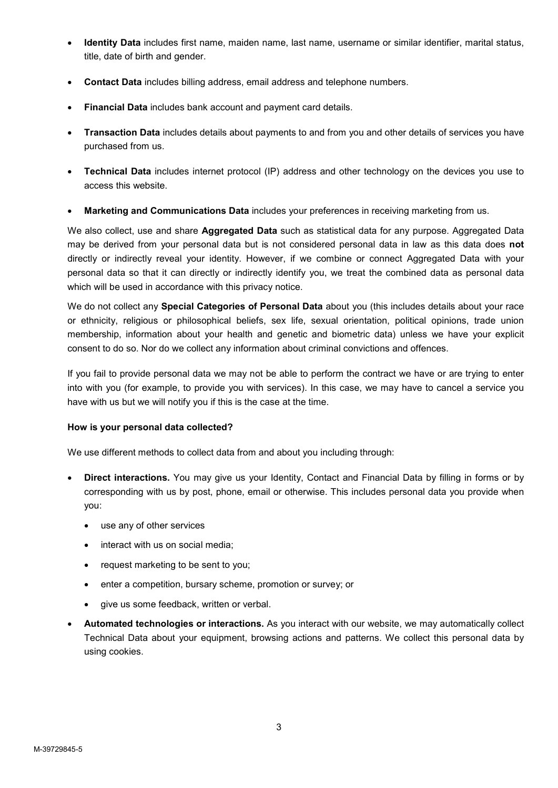- <span id="page-2-0"></span>• **Identity Data** includes first name, maiden name, last name, username or similar identifier, marital status, title, date of birth and gender.
- **Contact Data** includes billing address, email address and telephone numbers.
- **Financial Data** includes bank account and payment card details.
- **Transaction Data** includes details about payments to and from you and other details of services you have purchased from us.
- **Technical Data** includes internet protocol (IP) address and other technology on the devices you use to access this website.
- **Marketing and Communications Data** includes your preferences in receiving marketing from us.

We also collect, use and share **Aggregated Data** such as statistical data for any purpose. Aggregated Data may be derived from your personal data but is not considered personal data in law as this data does **not** directly or indirectly reveal your identity. However, if we combine or connect Aggregated Data with your personal data so that it can directly or indirectly identify you, we treat the combined data as personal data which will be used in accordance with this privacy notice.

We do not collect any **Special Categories of Personal Data** about you (this includes details about your race or ethnicity, religious or philosophical beliefs, sex life, sexual orientation, political opinions, trade union membership, information about your health and genetic and biometric data) unless we have your explicit consent to do so. Nor do we collect any information about criminal convictions and offences.

If you fail to provide personal data we may not be able to perform the contract we have or are trying to enter into with you (for example, to provide you with services). In this case, we may have to cancel a service you have with us but we will notify you if this is the case at the time.

## **How is your personal data collected?**

We use different methods to collect data from and about you including through:

- **Direct interactions.** You may give us your Identity, Contact and Financial Data by filling in forms or by corresponding with us by post, phone, email or otherwise. This includes personal data you provide when you:
	- use any of other services
	- interact with us on social media;
	- request marketing to be sent to you;
	- enter a competition, bursary scheme, promotion or survey; or
	- give us some feedback, written or verbal.
- **Automated technologies or interactions.** As you interact with our website, we may automatically collect Technical Data about your equipment, browsing actions and patterns. We collect this personal data by using cookies.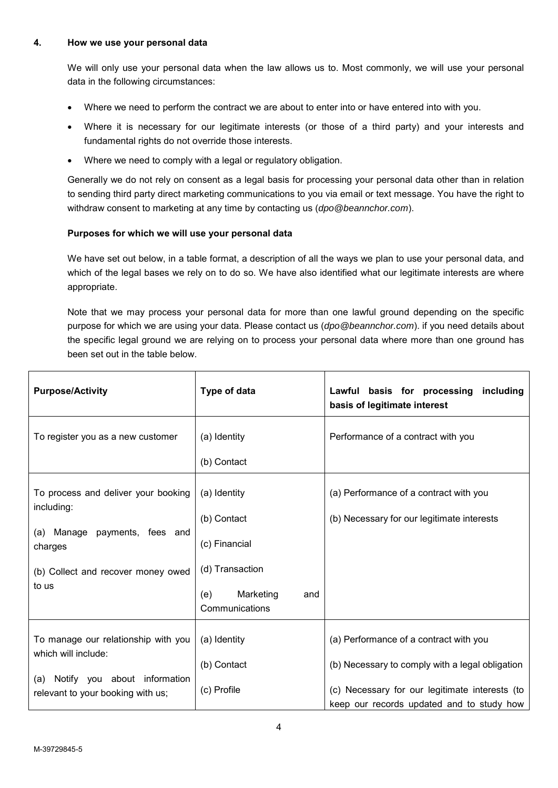## <span id="page-3-0"></span>**4. How we use your personal data**

We will only use your personal data when the law allows us to. Most commonly, we will use your personal data in the following circumstances:

- Where we need to perform the contract we are about to enter into or have entered into with you.
- Where it is necessary for our legitimate interests (or those of a third party) and your interests and fundamental rights do not override those interests.
- Where we need to comply with a legal or regulatory obligation.

Generally we do not rely on consent as a legal basis for processing your personal data other than in relation to sending third party direct marketing communications to you via email or text message. You have the right to withdraw consent to marketing at any time by contacting us (*[dpo@beannchor.com](mailto:dpo@beannchor.com)*).

# **Purposes for which we will use your personal data**

We have set out below, in a table format, a description of all the ways we plan to use your personal data, and which of the legal bases we rely on to do so. We have also identified what our legitimate interests are where appropriate.

Note that we may process your personal data for more than one lawful ground depending on the specific purpose for which we are using your data. Please contact us (*[dpo@beannchor.com](mailto:dpo@beannchor.com)*). if you need details about the specific legal ground we are relying on to process your personal data where more than one ground has been set out in the table below.

| <b>Purpose/Activity</b>                                                                                                                      | Type of data                                                                                                 | Lawful basis for processing<br>including<br>basis of legitimate interest                                                                                                                 |
|----------------------------------------------------------------------------------------------------------------------------------------------|--------------------------------------------------------------------------------------------------------------|------------------------------------------------------------------------------------------------------------------------------------------------------------------------------------------|
| To register you as a new customer                                                                                                            | (a) Identity<br>(b) Contact                                                                                  | Performance of a contract with you                                                                                                                                                       |
| To process and deliver your booking<br>including:<br>(a) Manage payments, fees and<br>charges<br>(b) Collect and recover money owed<br>to us | (a) Identity<br>(b) Contact<br>(c) Financial<br>(d) Transaction<br>Marketing<br>(e)<br>and<br>Communications | (a) Performance of a contract with you<br>(b) Necessary for our legitimate interests                                                                                                     |
| To manage our relationship with you<br>which will include:<br>(a) Notify you about information<br>relevant to your booking with us;          | (a) Identity<br>(b) Contact<br>(c) Profile                                                                   | (a) Performance of a contract with you<br>(b) Necessary to comply with a legal obligation<br>(c) Necessary for our legitimate interests (to<br>keep our records updated and to study how |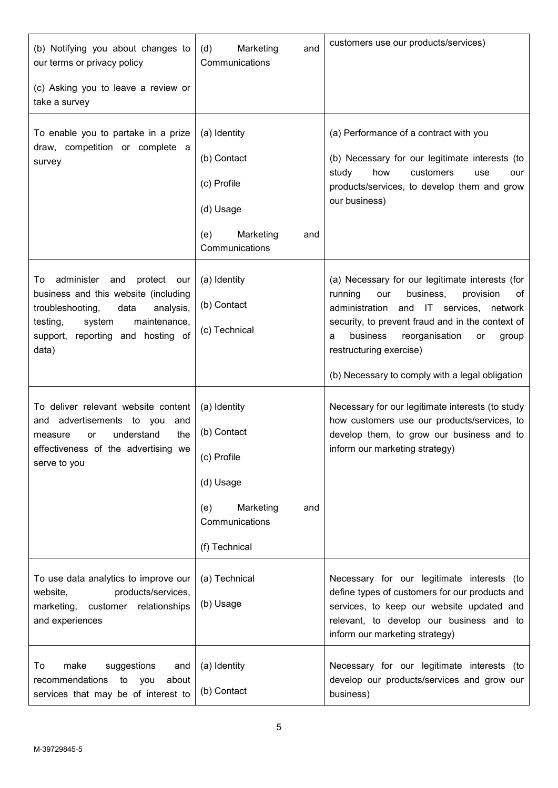| (b) Notifying you about changes to<br>our terms or privacy policy<br>(c) Asking you to leave a review or<br>take a survey                                                                                      | (d)<br>Marketing<br>and<br>Communications                                                                             | customers use our products/services)                                                                                                                                                                                                                                                                                             |
|----------------------------------------------------------------------------------------------------------------------------------------------------------------------------------------------------------------|-----------------------------------------------------------------------------------------------------------------------|----------------------------------------------------------------------------------------------------------------------------------------------------------------------------------------------------------------------------------------------------------------------------------------------------------------------------------|
| To enable you to partake in a prize<br>draw, competition or complete a<br>survey                                                                                                                               | (a) Identity<br>(b) Contact<br>(c) Profile<br>(d) Usage<br>(e)<br>Marketing<br>and<br>Communications                  | (a) Performance of a contract with you<br>(b) Necessary for our legitimate interests (to<br>study<br>how<br>customers<br>use<br>our<br>products/services, to develop them and grow<br>our business)                                                                                                                              |
| administer<br>protect our<br>To<br>and<br>business and this website (including<br>troubleshooting,<br>data<br>analysis,<br>maintenance,<br>testing,<br>system<br>support, reporting<br>and hosting of<br>data) | (a) Identity<br>(b) Contact<br>(c) Technical                                                                          | (a) Necessary for our legitimate interests (for<br>provision<br>running<br>our<br>business,<br>of<br>administration and IT services, network<br>security, to prevent fraud and in the context of<br>business<br>reorganisation<br>or<br>group<br>a<br>restructuring exercise)<br>(b) Necessary to comply with a legal obligation |
| To deliver relevant website content<br>advertisements to you<br>and<br>and<br>understand<br>the<br>measure<br>or<br>effectiveness of the advertising we<br>serve to you                                        | (a) Identity<br>(b) Contact<br>(c) Profile<br>(d) Usage<br>Marketing<br>(e)<br>and<br>Communications<br>(f) Technical | Necessary for our legitimate interests (to study<br>how customers use our products/services, to<br>develop them, to grow our business and to<br>inform our marketing strategy)                                                                                                                                                   |
| To use data analytics to improve our<br>website,<br>products/services,<br>relationships<br>customer<br>marketing,<br>and experiences                                                                           | (a) Technical<br>(b) Usage                                                                                            | Necessary for our legitimate interests (to<br>define types of customers for our products and<br>services, to keep our website updated and<br>relevant, to develop our business and to<br>inform our marketing strategy)                                                                                                          |
| To<br>make<br>suggestions<br>and<br>recommendations<br>to<br>about<br>you<br>services that may be of interest to                                                                                               | (a) Identity<br>(b) Contact                                                                                           | Necessary for our legitimate interests (to<br>develop our products/services and grow our<br>business)                                                                                                                                                                                                                            |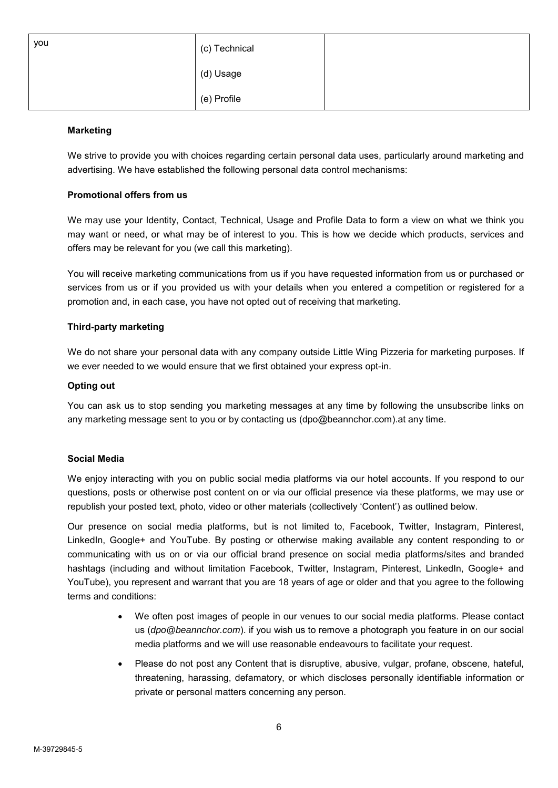| you | (c) Technical |  |
|-----|---------------|--|
|     | (d) Usage     |  |
|     | (e) Profile   |  |

## **Marketing**

We strive to provide you with choices regarding certain personal data uses, particularly around marketing and advertising. We have established the following personal data control mechanisms:

## **Promotional offers from us**

We may use your Identity, Contact, Technical, Usage and Profile Data to form a view on what we think you may want or need, or what may be of interest to you. This is how we decide which products, services and offers may be relevant for you (we call this marketing).

You will receive marketing communications from us if you have requested information from us or purchased or services from us or if you provided us with your details when you entered a competition or registered for a promotion and, in each case, you have not opted out of receiving that marketing.

# **Third-party marketing**

We do not share your personal data with any company outside Little Wing Pizzeria for marketing purposes. If we ever needed to we would ensure that we first obtained your express opt-in.

# **Opting out**

You can ask us to stop sending you marketing messages at any time by following the unsubscribe links on any marketing message sent to you or by contacting us (dpo@beannchor.com).at any time.

## **Social Media**

We enjoy interacting with you on public social media platforms via our hotel accounts. If you respond to our questions, posts or otherwise post content on or via our official presence via these platforms, we may use or republish your posted text, photo, video or other materials (collectively 'Content') as outlined below.

Our presence on social media platforms, but is not limited to, Facebook, Twitter, Instagram, Pinterest, LinkedIn, Google+ and YouTube. By posting or otherwise making available any content responding to or communicating with us on or via our official brand presence on social media platforms/sites and branded hashtags (including and without limitation Facebook, Twitter, Instagram, Pinterest, LinkedIn, Google+ and YouTube), you represent and warrant that you are 18 years of age or older and that you agree to the following terms and conditions:

- We often post images of people in our venues to our social media platforms. Please contact us (*[dpo@beannchor.com](mailto:dpo@beannchor.com)*). if you wish us to remove a photograph you feature in on our social media platforms and we will use reasonable endeavours to facilitate your request.
- Please do not post any Content that is disruptive, abusive, vulgar, profane, obscene, hateful, threatening, harassing, defamatory, or which discloses personally identifiable information or private or personal matters concerning any person.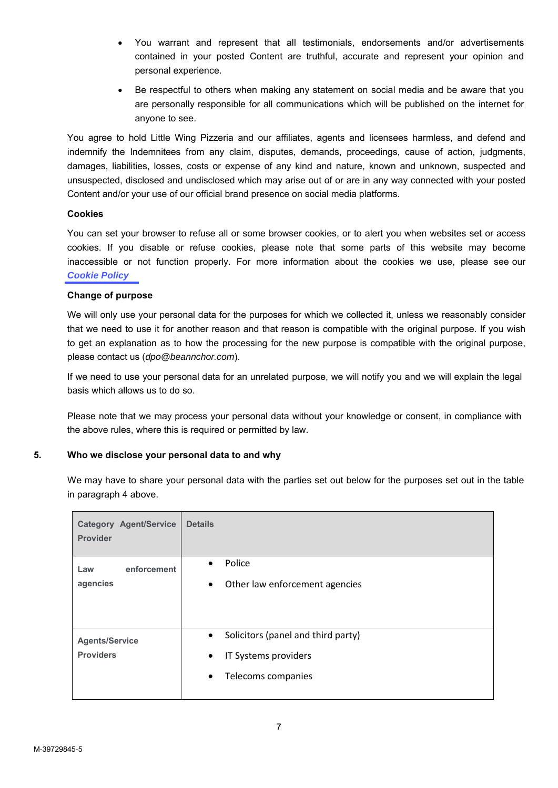- <span id="page-6-0"></span>• You warrant and represent that all testimonials, endorsements and/or advertisements contained in your posted Content are truthful, accurate and represent your opinion and personal experience.
- Be respectful to others when making any statement on social media and be aware that you are personally responsible for all communications which will be published on the internet for anyone to see.

You agree to hold Little Wing Pizzeria and our affiliates, agents and licensees harmless, and defend and indemnify the Indemnitees from any claim, disputes, demands, proceedings, cause of action, judgments, damages, liabilities, losses, costs or expense of any kind and nature, known and unknown, suspected and unsuspected, disclosed and undisclosed which may arise out of or are in any way connected with your posted Content and/or your use of our official brand presence on social media platforms.

#### **Cookies**

You can set your browser to refuse all or some browser cookies, or to alert you when websites set or access cookies. If you disable or refuse cookies, please note that some parts of this website may become inaccessible or not function properly. For more information about the cookies we use, please see our *[Cookie Policy](http://www.littlewingpizzeria.com/downloads/Cookie_Policy_-_Beannchor.pdf_UPDATE)*

#### **Change of purpose**

We will only use your personal data for the purposes for which we collected it, unless we reasonably consider that we need to use it for another reason and that reason is compatible with the original purpose. If you wish to get an explanation as to how the processing for the new purpose is compatible with the original purpose, please contact us (*[dpo@beannchor.com](mailto:dpo@beannchor.com)*).

If we need to use your personal data for an unrelated purpose, we will notify you and we will explain the legal basis which allows us to do so.

Please note that we may process your personal data without your knowledge or consent, in compliance with the above rules, where this is required or permitted by law.

## **5. Who we disclose your personal data to and why**

We may have to share your personal data with the parties set out below for the purposes set out in the table in paragraph 4 above.

| <b>Category Agent/Service</b><br><b>Provider</b> | <b>Details</b>                                  |
|--------------------------------------------------|-------------------------------------------------|
| enforcement<br>Law                               | Police<br>$\bullet$                             |
| agencies                                         | Other law enforcement agencies<br>$\bullet$     |
|                                                  |                                                 |
| <b>Agents/Service</b><br><b>Providers</b>        | Solicitors (panel and third party)<br>$\bullet$ |
|                                                  | IT Systems providers<br>$\bullet$               |
|                                                  | Telecoms companies<br>$\bullet$                 |
|                                                  |                                                 |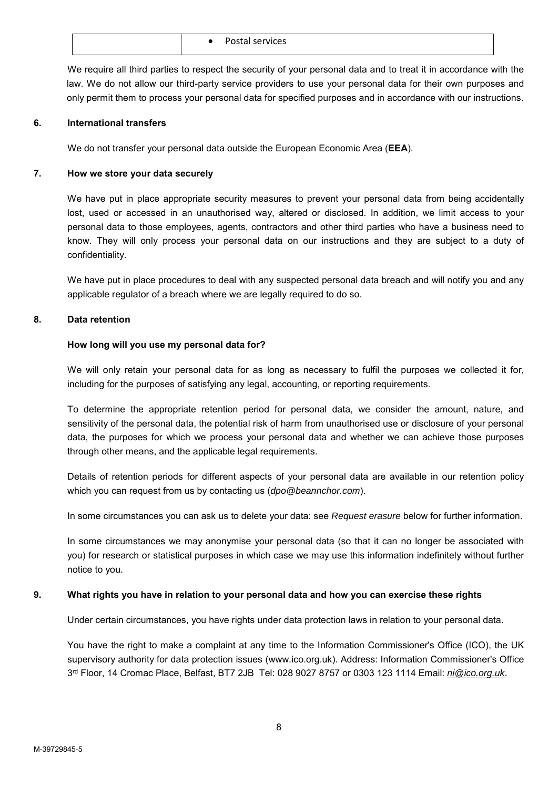<span id="page-7-0"></span>

|  | Postal services<br>$\bullet$ |  |
|--|------------------------------|--|
|--|------------------------------|--|

We require all third parties to respect the security of your personal data and to treat it in accordance with the law. We do not allow our third-party service providers to use your personal data for their own purposes and only permit them to process your personal data for specified purposes and in accordance with our instructions.

## **6. International transfers**

We do not transfer your personal data outside the European Economic Area (**EEA**).

## **7. How we store your data securely**

We have put in place appropriate security measures to prevent your personal data from being accidentally lost, used or accessed in an unauthorised way, altered or disclosed. In addition, we limit access to your personal data to those employees, agents, contractors and other third parties who have a business need to know. They will only process your personal data on our instructions and they are subject to a duty of confidentiality.

We have put in place procedures to deal with any suspected personal data breach and will notify you and any applicable regulator of a breach where we are legally required to do so.

# **8. Data retention**

# **How long will you use my personal data for?**

We will only retain your personal data for as long as necessary to fulfil the purposes we collected it for, including for the purposes of satisfying any legal, accounting, or reporting requirements.

To determine the appropriate retention period for personal data, we consider the amount, nature, and sensitivity of the personal data, the potential risk of harm from unauthorised use or disclosure of your personal data, the purposes for which we process your personal data and whether we can achieve those purposes through other means, and the applicable legal requirements.

Details of retention periods for different aspects of your personal data are available in our retention policy which you can request from us by contacting us (*[dpo@beannchor.com](mailto:dpo@beannchor.com)*).

In some circumstances you can ask us to delete your data: see *Request erasure* below for further information.

In some circumstances we may anonymise your personal data (so that it can no longer be associated with you) for research or statistical purposes in which case we may use this information indefinitely without further notice to you.

## **9. What rights you have in relation to your personal data and how you can exercise these rights**

Under certain circumstances, you have rights under data protection laws in relation to your personal data.

You have the right to make a complaint at any time to the Information Commissioner's Office (ICO), the UK supervisory authority for data protection issues (www.ico.org.uk). Address: Information Commissioner's Office 3rd Floor, 14 Cromac Place, Belfast, BT7 2JB Tel: 028 9027 8757 or 0303 123 1114 Email: *[ni@ico.org.uk](mailto:ni@ico.org.uk)*.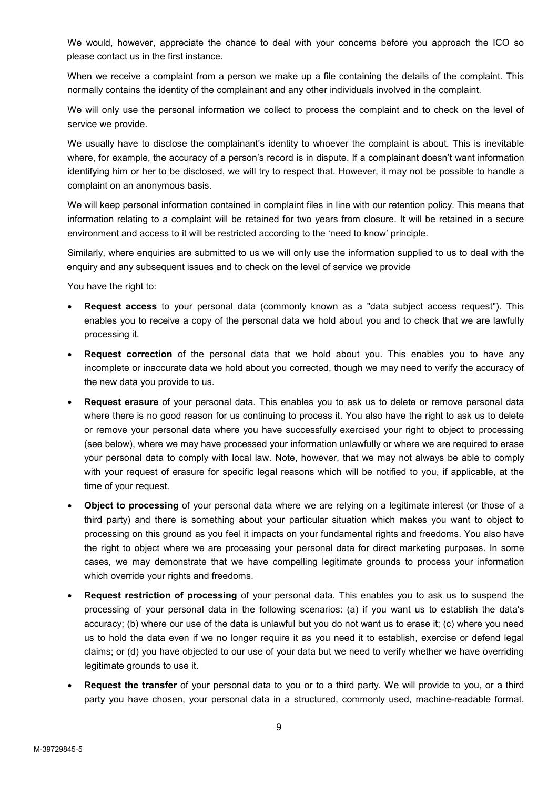<span id="page-8-0"></span>We would, however, appreciate the chance to deal with your concerns before you approach the ICO so please contact us in the first instance.

When we receive a complaint from a person we make up a file containing the details of the complaint. This normally contains the identity of the complainant and any other individuals involved in the complaint.

We will only use the personal information we collect to process the complaint and to check on the level of service we provide.

We usually have to disclose the complainant's identity to whoever the complaint is about. This is inevitable where, for example, the accuracy of a person's record is in dispute. If a complainant doesn't want information identifying him or her to be disclosed, we will try to respect that. However, it may not be possible to handle a complaint on an anonymous basis.

We will keep personal information contained in complaint files in line with our retention policy. This means that information relating to a complaint will be retained for two years from closure. It will be retained in a secure environment and access to it will be restricted according to the 'need to know' principle.

Similarly, where enquiries are submitted to us we will only use the information supplied to us to deal with the enquiry and any subsequent issues and to check on the level of service we provide

You have the right to:

- **Request access** to your personal data (commonly known as a "data subject access request"). This enables you to receive a copy of the personal data we hold about you and to check that we are lawfully processing it.
- **Request correction** of the personal data that we hold about you. This enables you to have any incomplete or inaccurate data we hold about you corrected, though we may need to verify the accuracy of the new data you provide to us.
- **Request erasure** of your personal data. This enables you to ask us to delete or remove personal data where there is no good reason for us continuing to process it. You also have the right to ask us to delete or remove your personal data where you have successfully exercised your right to object to processing (see below), where we may have processed your information unlawfully or where we are required to erase your personal data to comply with local law. Note, however, that we may not always be able to comply with your request of erasure for specific legal reasons which will be notified to you, if applicable, at the time of your request.
- **Object to processing** of your personal data where we are relying on a legitimate interest (or those of a third party) and there is something about your particular situation which makes you want to object to processing on this ground as you feel it impacts on your fundamental rights and freedoms. You also have the right to object where we are processing your personal data for direct marketing purposes. In some cases, we may demonstrate that we have compelling legitimate grounds to process your information which override your rights and freedoms.
- **Request restriction of processing** of your personal data. This enables you to ask us to suspend the processing of your personal data in the following scenarios: (a) if you want us to establish the data's accuracy; (b) where our use of the data is unlawful but you do not want us to erase it; (c) where you need us to hold the data even if we no longer require it as you need it to establish, exercise or defend legal claims; or (d) you have objected to our use of your data but we need to verify whether we have overriding legitimate grounds to use it.
- **Request the transfer** of your personal data to you or to a third party. We will provide to you, or a third party you have chosen, your personal data in a structured, commonly used, machine-readable format.